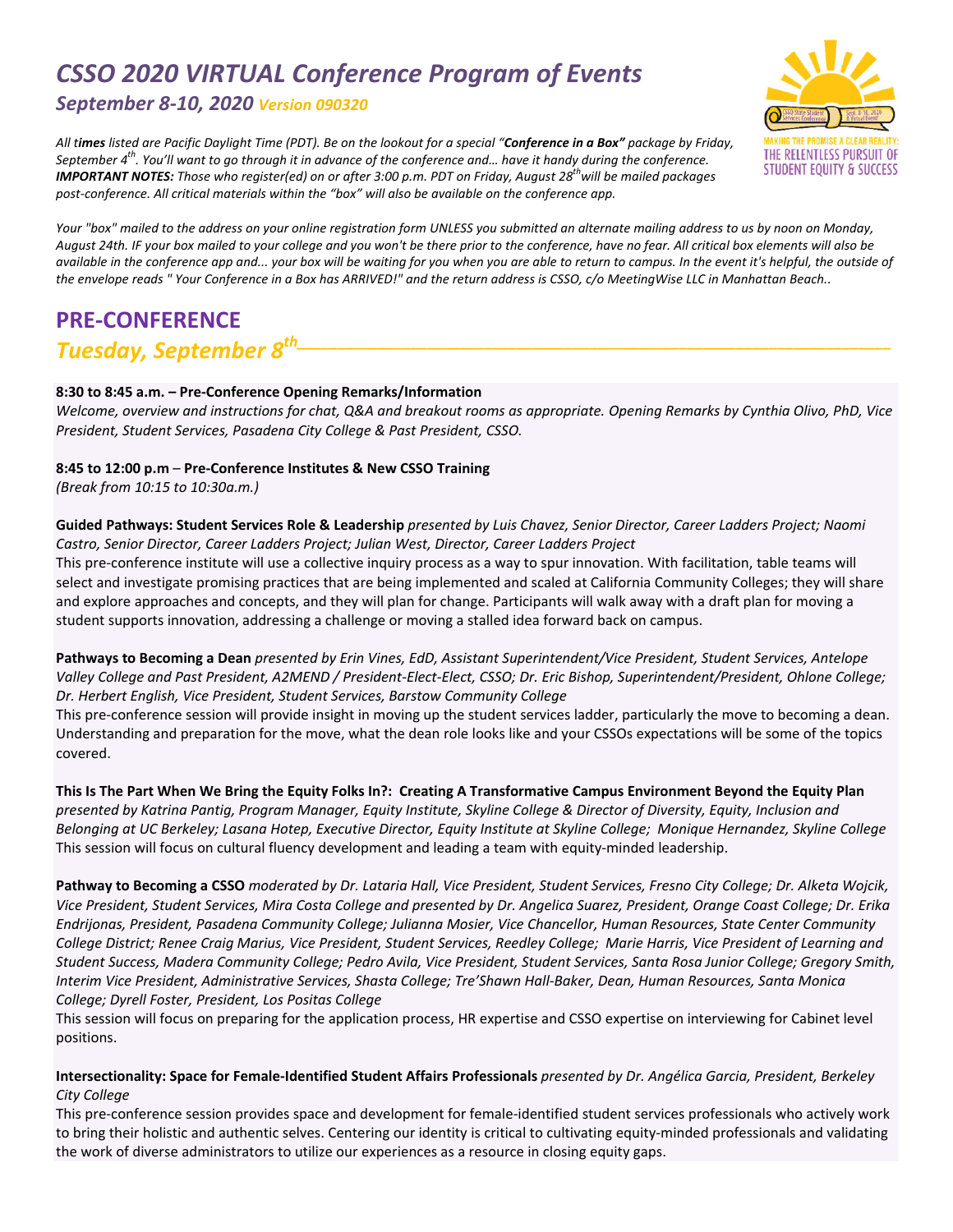# *CSSO 2020 VIRTUAL Conference Program of Events*

# *September 8‐10, 2020 Version 090320*

All times listed are Pacific Daylight Time (PDT). Be on the lookout for a special "Conference in a Box" package by Friday, September  $4<sup>th</sup>$ . You'll want to go through it in advance of the conference and... have it handy during the conference. **IMPORTANT NOTES:** Those who register(ed) on or after 3:00 p.m. PDT on Friday, August 28<sup>th</sup>will be mailed packages post-conference. All critical materials within the "box" will also be available on the conference app.



Your "box" mailed to the address on your online registration form UNLESS you submitted an alternate mailing address to us by noon on Monday, August 24th. IF your box mailed to your college and you won't be there prior to the conference, have no fear. All critical box elements will also be available in the conference app and... your box will be waiting for you when you are able to return to campus. In the event it's helpful, the outside of the envelope reads "Your Conference in a Box has ARRIVED!" and the return address is CSSO, c/o MeetingWise LLC in Manhattan Beach..

# **PRE‐CONFERENCE**

# *Tuesday, September 8th\_\_\_\_\_\_\_\_\_\_\_\_\_\_\_\_\_\_\_\_\_\_\_\_\_\_\_\_\_\_\_\_\_\_\_\_\_\_\_\_\_\_\_\_\_\_\_\_\_\_\_\_\_\_\_\_\_\_\_\_\_\_\_\_\_\_\_\_\_\_\_\_\_*

## **8:30 to 8:45 a.m. – Pre‐Conference Opening Remarks/Information**

Welcome, overview and instructions for chat, Q&A and breakout rooms as appropriate. Opening Remarks by Cynthia Olivo, PhD, Vice *President, Student Services, Pasadena City College & Past President, CSSO.*

## **8:45 to 12:00 p.m** – **Pre‐Conference Institutes & New CSSO Training**

*(Break from 10:15 to 10:30a.m.)*

### Guided Pathways: Student Services Role & Leadership presented by Luis Chavez, Senior Director, Career Ladders Project; Naomi *Castro, Senior Director, Career Ladders Project; Julian West, Director, Career Ladders Project*

This pre-conference institute will use a collective inquiry process as a way to spur innovation. With facilitation, table teams will select and investigate promising practices that are being implemented and scaled at California Community Colleges; they will share and explore approaches and concepts, and they will plan for change. Participants will walk away with a draft plan for moving a student supports innovation, addressing a challenge or moving a stalled idea forward back on campus.

Pathways to Becoming a Dean presented by Erin Vines, EdD, Assistant Superintendent/Vice President, Student Services, Antelope Valley College and Past President, A2MEND / President-Elect-Elect, CSSO; Dr. Eric Bishop, Superintendent/President, Ohlone College; *Dr. Herbert English, Vice President, Student Services, Barstow Community College* 

This pre-conference session will provide insight in moving up the student services ladder, particularly the move to becoming a dean. Understanding and preparation for the move, what the dean role looks like and your CSSOs expectations will be some of the topics covered.

This Is The Part When We Bring the Equity Folks In?: Creating A Transformative Campus Environment Beyond the Equity Plan presented by Katrina Pantig, Program Manager, Equity Institute, Skyline College & Director of Diversity, Equity, Inclusion and Belonging at UC Berkeley; Lasana Hotep, Executive Director, Equity Institute at Skyline College; Monique Hernandez, Skyline College This session will focus on cultural fluency development and leading a team with equity-minded leadership.

Pathway to Becoming a CSSO moderated by Dr. Lataria Hall, Vice President, Student Services, Fresno City College; Dr. Alketa Wojcik, Vice President, Student Services, Mira Costa College and presented by Dr. Angelica Suarez, President, Orange Coast College; Dr. Erika *Endrijonas, President, Pasadena Community College; Julianna Mosier, Vice Chancellor, Human Resources, State Center Community* College District; Renee Craig Marius, Vice President, Student Services, Reedley College; Marie Harris, Vice President of Learning and Student Success, Madera Community College; Pedro Avila, Vice President, Student Services, Santa Rosa Junior College; Gregory Smith, Interim Vice President, Administrative Services, Shasta College; Tre'Shawn Hall-Baker, Dean, Human Resources, Santa Monica *College; Dyrell Foster, President, Los Positas College*

This session will focus on preparing for the application process, HR expertise and CSSO expertise on interviewing for Cabinet level positions.

### Intersectionality: Space for Female-Identified Student Affairs Professionals presented by Dr. Angélica Garcia, President, Berkeley *City College*

This pre-conference session provides space and development for female-identified student services professionals who actively work to bring their holistic and authentic selves. Centering our identity is critical to cultivating equity‐minded professionals and validating the work of diverse administrators to utilize our experiences as a resource in closing equity gaps.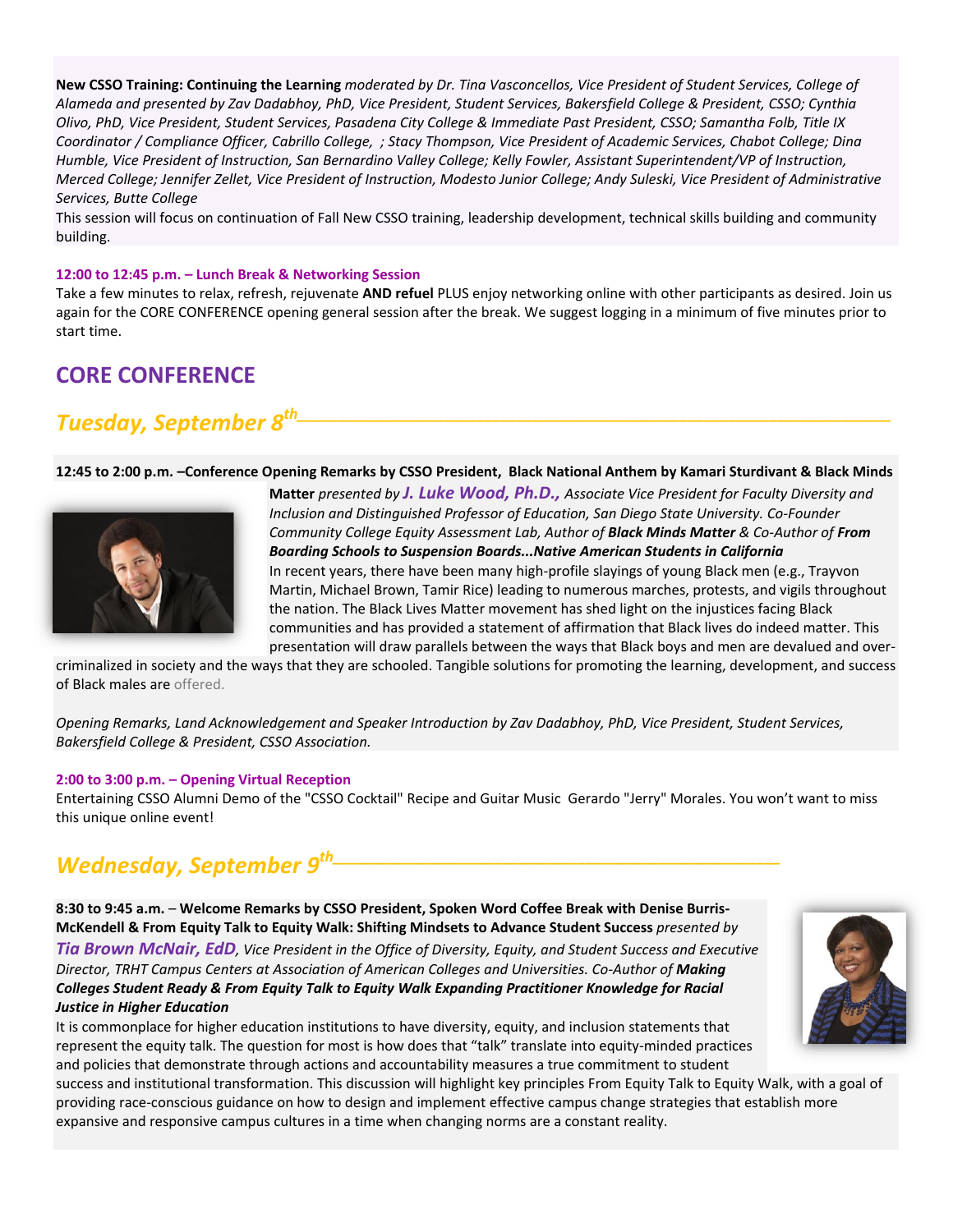New CSSO Training: Continuing the Learning moderated by Dr. Tina Vasconcellos, Vice President of Student Services, College of Alameda and presented by Zav Dadabhoy, PhD, Vice President, Student Services, Bakersfield College & President, CSSO; Cynthia Olivo, PhD, Vice President, Student Services, Pasadena City College & Immediate Past President, CSSO; Samantha Folb, Title IX Coordinator / Compliance Officer, Cabrillo College, ; Stacy Thompson, Vice President of Academic Services, Chabot College; Dina Humble, Vice President of Instruction, San Bernardino Valley College; Kelly Fowler, Assistant Superintendent/VP of Instruction, Merced College; Jennifer Zellet, Vice President of Instruction, Modesto Junior College; Andy Suleski, Vice President of Administrative *Services, Butte College* 

This session will focus on continuation of Fall New CSSO training, leadership development, technical skills building and community building.

### **12:00 to 12:45 p.m. – Lunch Break & Networking Session**

Take a few minutes to relax, refresh, rejuvenate **AND refuel** PLUS enjoy networking online with other participants as desired. Join us again for the CORE CONFERENCE opening general session after the break. We suggest logging in a minimum of five minutes prior to start time.

# **CORE CONFERENCE**

# *Tuesday, September 8th\_\_\_\_\_\_\_\_\_\_\_\_\_\_\_\_\_\_\_\_\_\_\_\_\_\_\_\_\_\_\_\_\_\_\_\_\_\_\_\_\_\_\_\_\_\_\_\_\_\_\_\_\_\_\_\_\_\_\_\_\_\_\_\_\_\_\_\_\_\_\_\_\_*

### 12:45 to 2:00 p.m. -Conference Opening Remarks by CSSO President, Black National Anthem by Kamari Sturdivant & Black Minds



**Matter** *presented by J. Luke Wood, Ph.D., Associate Vice President for Faculty Diversity and Inclusion and Distinguished Professor of Education, San Diego State University. Co‐Founder Community College Equity Assessment Lab, Author of Black Minds Matter & Co‐Author of From Boarding Schools to Suspension Boards...Native American Students in California* In recent years, there have been many high‐profile slayings of young Black men (e.g., Trayvon Martin, Michael Brown, Tamir Rice) leading to numerous marches, protests, and vigils throughout the nation. The Black Lives Matter movement has shed light on the injustices facing Black communities and has provided a statement of affirmation that Black lives do indeed matter. This presentation will draw parallels between the ways that Black boys and men are devalued and over‐

criminalized in society and the ways that they are schooled. Tangible solutions for promoting the learning, development, and success of Black males are offered.

*Opening Remarks, Land Acknowledgement and Speaker Introduction by Zav Dadabhoy, PhD, Vice President, Student Services, Bakersfield College & President, CSSO Association.*

#### **2:00 to 3:00 p.m. – Opening Virtual Reception**

Entertaining CSSO Alumni Demo of the "CSSO Cocktail" Recipe and Guitar Music Gerardo "Jerry" Morales. You won't want to miss this unique online event!

# *Wednesday, September*  $9^{th}$

**8:30 to 9:45 a.m.** – **Welcome Remarks by CSSO President, Spoken Word Coffee Break with Denise Burris‐ McKendell & From Equity Talk to Equity Walk: Shifting Mindsets to Advance Student Success** *presented by* Tia Brown McNair, EdD, Vice President in the Office of Diversity, Equity, and Student Success and Executive *Director, TRHT Campus Centers at Association of American Colleges and Universities. Co‐Author of Making Colleges Student Ready & From Equity Talk to Equity Walk Expanding Practitioner Knowledge for Racial Justice in Higher Education*

It is commonplace for higher education institutions to have diversity, equity, and inclusion statements that represent the equity talk. The question for most is how does that "talk" translate into equity-minded practices and policies that demonstrate through actions and accountability measures a true commitment to student

success and institutional transformation. This discussion will highlight key principles From Equity Talk to Equity Walk, with a goal of providing race‐conscious guidance on how to design and implement effective campus change strategies that establish more expansive and responsive campus cultures in a time when changing norms are a constant reality.

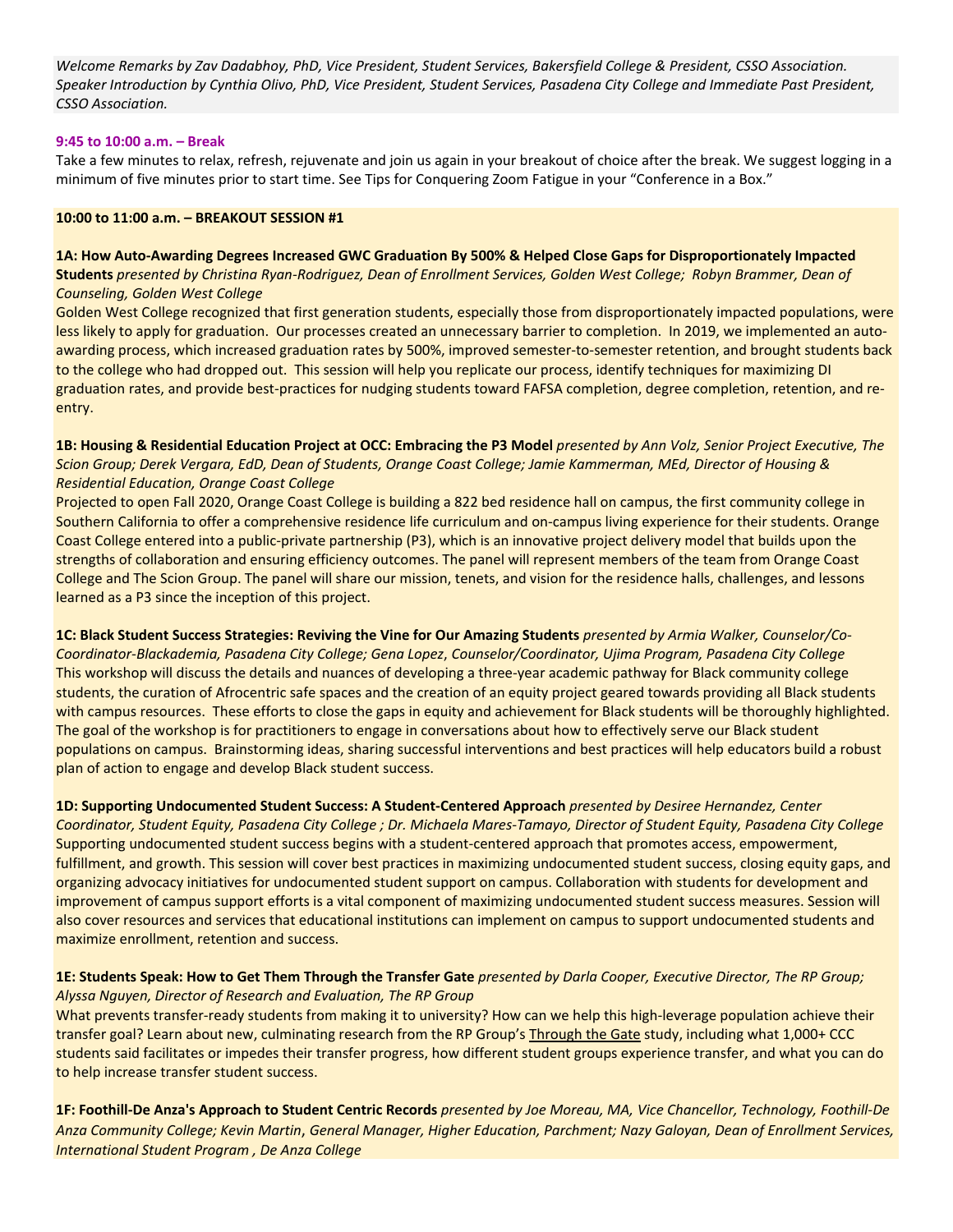Welcome Remarks by Zav Dadabhoy, PhD, Vice President, Student Services, Bakersfield College & President, CSSO Association. Speaker Introduction by Cynthia Olivo, PhD, Vice President, Student Services, Pasadena City College and Immediate Past President, *CSSO Association.*

### **9:45 to 10:00 a.m. – Break**

Take a few minutes to relax, refresh, rejuvenate and join us again in your breakout of choice after the break. We suggest logging in a minimum of five minutes prior to start time. See Tips for Conquering Zoom Fatigue in your "Conference in a Box."

### **10:00 to 11:00 a.m. – BREAKOUT SESSION #1**

1A: How Auto-Awarding Degrees Increased GWC Graduation By 500% & Helped Close Gaps for Disproportionately Impacted

Students presented by Christina Ryan-Rodriguez, Dean of Enrollment Services, Golden West College; Robyn Brammer, Dean of *Counseling, Golden West College*

Golden West College recognized that first generation students, especially those from disproportionately impacted populations, were less likely to apply for graduation. Our processes created an unnecessary barrier to completion. In 2019, we implemented an autoawarding process, which increased graduation rates by 500%, improved semester-to-semester retention, and brought students back to the college who had dropped out. This session will help you replicate our process, identify techniques for maximizing DI graduation rates, and provide best-practices for nudging students toward FAFSA completion, degree completion, retention, and reentry.

1B: Housing & Residential Education Project at OCC: Embracing the P3 Model presented by Ann Volz, Senior Project Executive, The Scion Group; Derek Vergara, EdD, Dean of Students, Orange Coast College; Jamie Kammerman, MEd, Director of Housing & *Residential Education, Orange Coast College* 

Projected to open Fall 2020, Orange Coast College is building a 822 bed residence hall on campus, the first community college in Southern California to offer a comprehensive residence life curriculum and on-campus living experience for their students. Orange Coast College entered into a public‐private partnership (P3), which is an innovative project delivery model that builds upon the strengths of collaboration and ensuring efficiency outcomes. The panel will represent members of the team from Orange Coast College and The Scion Group. The panel will share our mission, tenets, and vision for the residence halls, challenges, and lessons learned as a P3 since the inception of this project.

1C: Black Student Success Strategies: Reviving the Vine for Our Amazing Students presented by Armia Walker, Counselor/Co-*Coordinator‐Blackademia, Pasadena City College; Gena Lopez*, *Counselor/Coordinator, Ujima Program, Pasadena City College* This workshop will discuss the details and nuances of developing a three-year academic pathway for Black community college students, the curation of Afrocentric safe spaces and the creation of an equity project geared towards providing all Black students with campus resources. These efforts to close the gaps in equity and achievement for Black students will be thoroughly highlighted. The goal of the workshop is for practitioners to engage in conversations about how to effectively serve our Black student populations on campus. Brainstorming ideas, sharing successful interventions and best practices will help educators build a robust plan of action to engage and develop Black student success.

**1D: Supporting Undocumented Student Success: A Student‐Centered Approach** *presented by Desiree Hernandez, Center* Coordinator, Student Equity, Pasadena City College; Dr. Michaela Mares-Tamayo, Director of Student Equity, Pasadena City College Supporting undocumented student success begins with a student‐centered approach that promotes access, empowerment, fulfillment, and growth. This session will cover best practices in maximizing undocumented student success, closing equity gaps, and organizing advocacy initiatives for undocumented student support on campus. Collaboration with students for development and improvement of campus support efforts is a vital component of maximizing undocumented student success measures. Session will also cover resources and services that educational institutions can implement on campus to support undocumented students and maximize enrollment, retention and success.

1E: Students Speak: How to Get Them Through the Transfer Gate presented by Darla Cooper, Executive Director, The RP Group; *Alyssa Nguyen, Director of Research and Evaluation, The RP Group*

What prevents transfer-ready students from making it to university? How can we help this high-leverage population achieve their transfer goal? Learn about new, culminating research from the RP Group's Through the Gate study, including what 1,000+ CCC students said facilitates or impedes their transfer progress, how different student groups experience transfer, and what you can do to help increase transfer student success.

1F: Foothill-De Anza's Approach to Student Centric Records presented by Joe Moreau, MA, Vice Chancellor, Technology, Foothill-De Anza Community College; Kevin Martin, General Manager, Higher Education, Parchment; Nazy Galoyan, Dean of Enrollment Services, *International Student Program , De Anza College*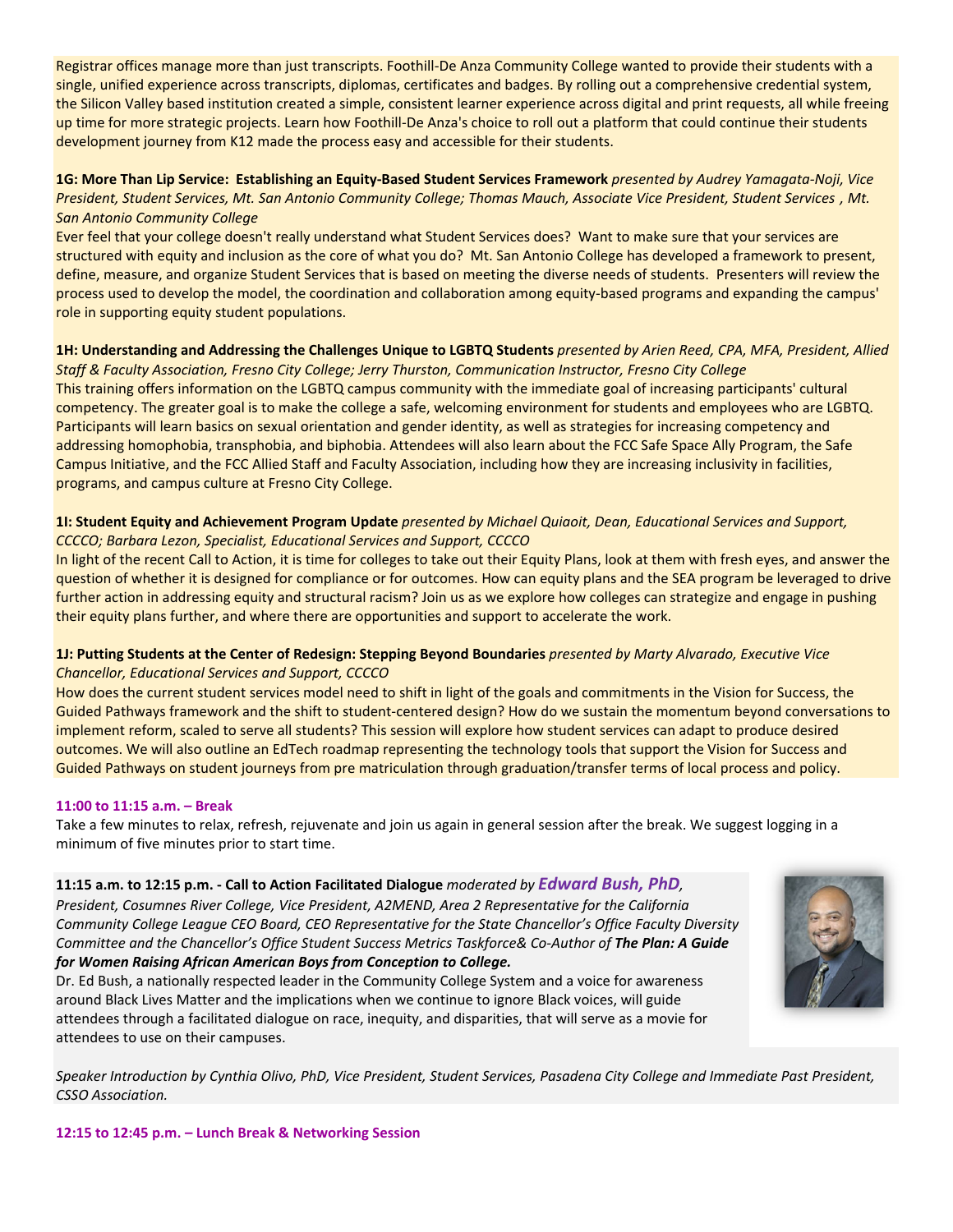Registrar offices manage more than just transcripts. Foothill‐De Anza Community College wanted to provide their students with a single, unified experience across transcripts, diplomas, certificates and badges. By rolling out a comprehensive credential system, the Silicon Valley based institution created a simple, consistent learner experience across digital and print requests, all while freeing up time for more strategic projects. Learn how Foothill‐De Anza's choice to roll out a platform that could continue their students development journey from K12 made the process easy and accessible for their students.

1G: More Than Lip Service: Establishing an Equity-Based Student Services Framework presented by Audrey Yamagata-Noji, Vice President, Student Services, Mt. San Antonio Community College; Thomas Mauch, Associate Vice President, Student Services, Mt. *San Antonio Community College* 

Ever feel that your college doesn't really understand what Student Services does? Want to make sure that your services are structured with equity and inclusion as the core of what you do? Mt. San Antonio College has developed a framework to present, define, measure, and organize Student Services that is based on meeting the diverse needs of students. Presenters will review the process used to develop the model, the coordination and collaboration among equity‐based programs and expanding the campus' role in supporting equity student populations.

1H: Understanding and Addressing the Challenges Unique to LGBTQ Students presented by Arien Reed, CPA, MFA, President, Allied *Staff & Faculty Association, Fresno City College; Jerry Thurston, Communication Instructor, Fresno City College* This training offers information on the LGBTQ campus community with the immediate goal of increasing participants' cultural competency. The greater goal is to make the college a safe, welcoming environment for students and employees who are LGBTQ. Participants will learn basics on sexual orientation and gender identity, as well as strategies for increasing competency and addressing homophobia, transphobia, and biphobia. Attendees will also learn about the FCC Safe Space Ally Program, the Safe Campus Initiative, and the FCC Allied Staff and Faculty Association, including how they are increasing inclusivity in facilities, programs, and campus culture at Fresno City College.

### 11: Student Equity and Achievement Program Update presented by Michael Quiaoit, Dean, Educational Services and Support, *CCCCO; Barbara Lezon, Specialist, Educational Services and Support, CCCCO*

In light of the recent Call to Action, it is time for colleges to take out their Equity Plans, look at them with fresh eyes, and answer the question of whether it is designed for compliance or for outcomes. How can equity plans and the SEA program be leveraged to drive further action in addressing equity and structural racism? Join us as we explore how colleges can strategize and engage in pushing their equity plans further, and where there are opportunities and support to accelerate the work.

### 1J: Putting Students at the Center of Redesign: Stepping Beyond Boundaries presented by Marty Alvarado, Executive Vice *Chancellor, Educational Services and Support, CCCCO*

How does the current student services model need to shift in light of the goals and commitments in the Vision for Success, the Guided Pathways framework and the shift to student‐centered design? How do we sustain the momentum beyond conversations to implement reform, scaled to serve all students? This session will explore how student services can adapt to produce desired outcomes. We will also outline an EdTech roadmap representing the technology tools that support the Vision for Success and Guided Pathways on student journeys from pre matriculation through graduation/transfer terms of local process and policy.

### **11:00 to 11:15 a.m. – Break**

Take a few minutes to relax, refresh, rejuvenate and join us again in general session after the break. We suggest logging in a minimum of five minutes prior to start time.

## **11:15 a.m. to 12:15 p.m. ‐ Call to Action Facilitated Dialogue** *moderated by Edward Bush, PhD,*

*President, Cosumnes River College, Vice President, A2MEND, Area 2 Representative for the California Community College League CEO Board, CEO Representative for the State Chancellor's Office Faculty Diversity Committee and the Chancellor's Office Student Success Metrics Taskforce& Co‐Author of The Plan: A Guide for Women Raising African American Boys from Conception to College.* 

Dr. Ed Bush, a nationally respected leader in the Community College System and a voice for awareness around Black Lives Matter and the implications when we continue to ignore Black voices, will guide attendees through a facilitated dialogue on race, inequity, and disparities, that will serve as a movie for attendees to use on their campuses.

Speaker Introduction by Cynthia Olivo, PhD, Vice President, Student Services, Pasadena City College and Immediate Past President, *CSSO Association.*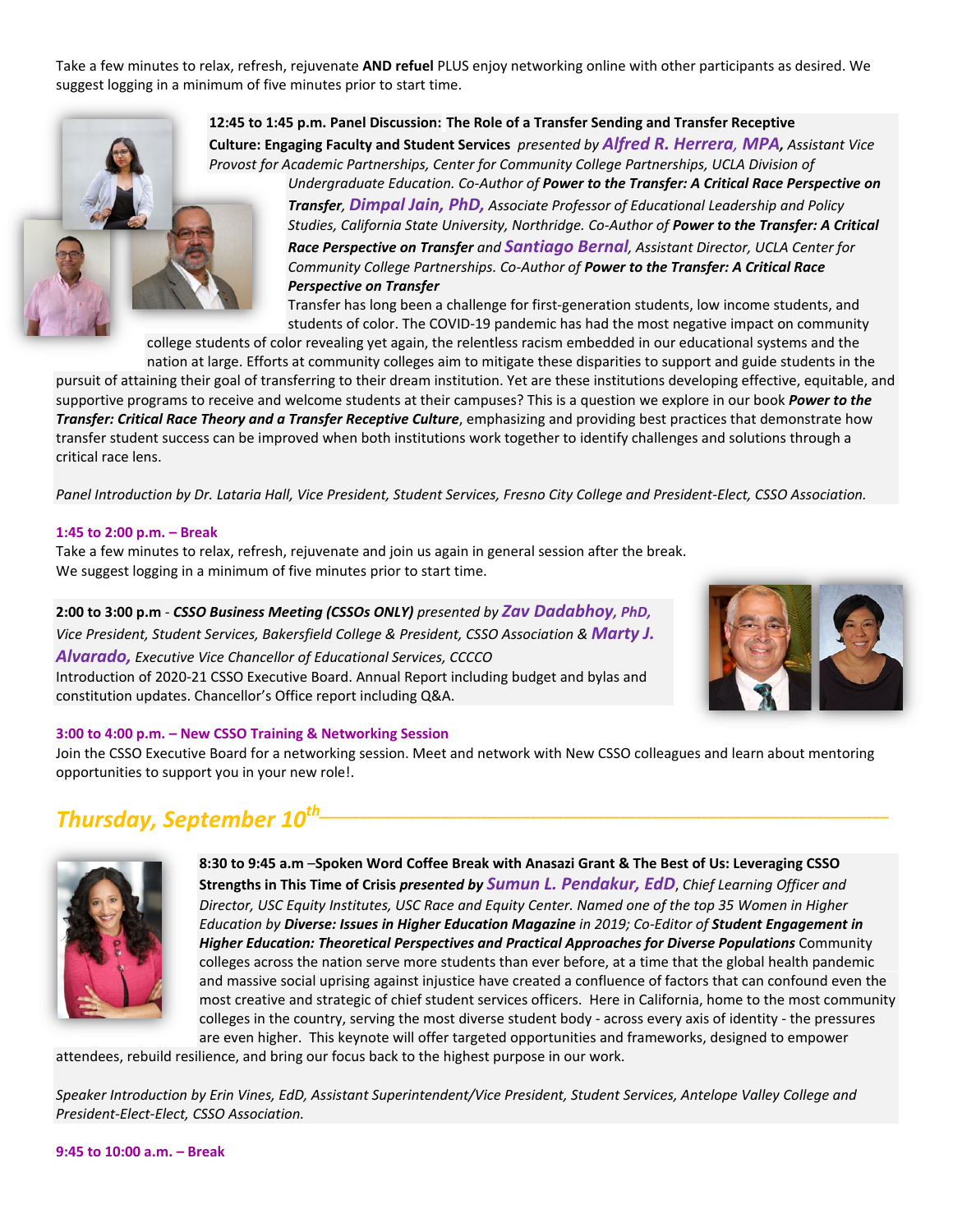Take a few minutes to relax, refresh, rejuvenate **AND refuel** PLUS enjoy networking online with other participants as desired. We suggest logging in a minimum of five minutes prior to start time.



**12:45 to 1:45 p.m. Panel Discussion: The Role of a Transfer Sending and Transfer Receptive Culture: Engaging Faculty and Student Services** *presented by Alfred R. Herrera, MPA, Assistant Vice Provost for Academic Partnerships, Center for Community College Partnerships, UCLA Division of*

*Undergraduate Education. Co‐Author of Power to the Transfer: A Critical Race Perspective on Transfer, Dimpal Jain, PhD, Associate Professor of Educational Leadership and Policy Studies, California State University, Northridge. Co‐Author of Power to the Transfer: A Critical Race Perspective on Transfer and Santiago Bernal, Assistant Director, UCLA Center for Community College Partnerships. Co‐Author of Power to the Transfer: A Critical Race Perspective on Transfer* 

Transfer has long been a challenge for first‐generation students, low income students, and students of color. The COVID‐19 pandemic has had the most negative impact on community

college students of color revealing yet again, the relentless racism embedded in our educational systems and the nation at large. Efforts at community colleges aim to mitigate these disparities to support and guide students in the

pursuit of attaining their goal of transferring to their dream institution. Yet are these institutions developing effective, equitable, and supportive programs to receive and welcome students at their campuses? This is a question we explore in our book *Power to the Transfer: Critical Race Theory and a Transfer Receptive Culture*, emphasizing and providing best practices that demonstrate how transfer student success can be improved when both institutions work together to identify challenges and solutions through a critical race lens.

Panel Introduction by Dr. Lataria Hall, Vice President, Student Services, Fresno City College and President-Elect, CSSO Association.

#### **1:45 to 2:00 p.m. – Break**

Take a few minutes to relax, refresh, rejuvenate and join us again in general session after the break. We suggest logging in a minimum of five minutes prior to start time.

**2:00 to 3:00 p.m** ‐ *CSSO Business Meeting (CSSOs ONLY) presented by Zav Dadabhoy, PhD, Vice President, Student Services, Bakersfield College & President, CSSO Association & Marty J. Alvarado, Executive Vice Chancellor of Educational Services, CCCCO* Introduction of 2020‐21 CSSO Executive Board. Annual Report including budget and bylas and constitution updates. Chancellor's Office report including Q&A.



### **3:00 to 4:00 p.m. – New CSSO Training & Networking Session**

Join the CSSO Executive Board for a networking session. Meet and network with New CSSO colleagues and learn about mentoring opportunities to support you in your new role!.

# *Thursday, September*  $10^{th}$



**8:30 to 9:45 a.m** –**Spoken Word Coffee Break with Anasazi Grant & The Best of Us: Leveraging CSSO Strengths in This Time of Crisis** *presented by Sumun L. Pendakur, EdD*, *Chief Learning Officer and* Director, USC Equity Institutes, USC Race and Equity Center. Named one of the top 35 Women in Higher *Education by Diverse: Issues in Higher Education Magazine in 2019; Co‐Editor of Student Engagement in Higher Education: Theoretical Perspectives and Practical Approaches for Diverse Populations* Community colleges across the nation serve more students than ever before, at a time that the global health pandemic and massive social uprising against injustice have created a confluence of factors that can confound even the most creative and strategic of chief student services officers. Here in California, home to the most community colleges in the country, serving the most diverse student body ‐ across every axis of identity ‐ the pressures are even higher. This keynote will offer targeted opportunities and frameworks, designed to empower

attendees, rebuild resilience, and bring our focus back to the highest purpose in our work.

Speaker Introduction by Erin Vines, EdD, Assistant Superintendent/Vice President, Student Services, Antelope Valley College and *President‐Elect‐Elect, CSSO Association.*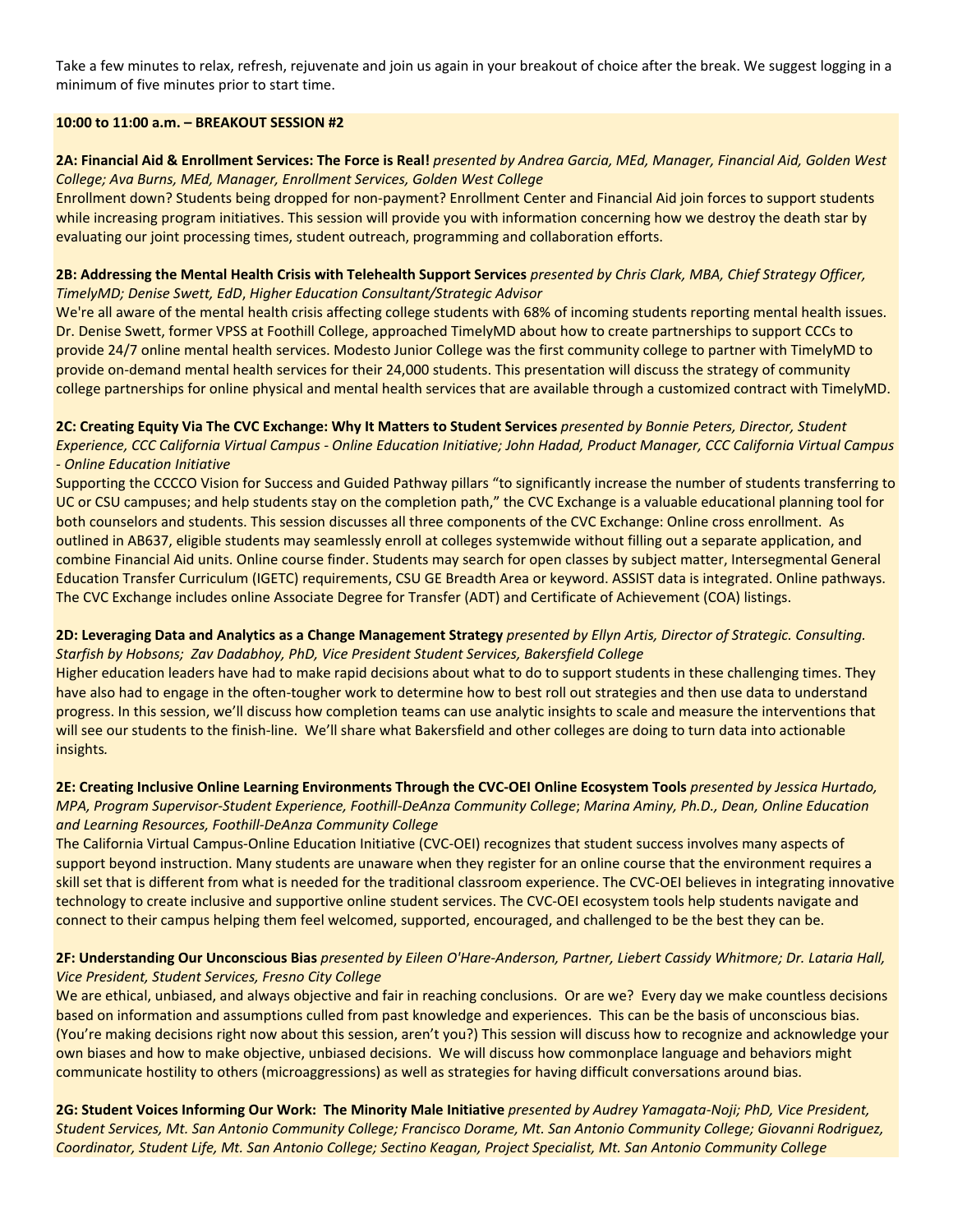Take a few minutes to relax, refresh, rejuvenate and join us again in your breakout of choice after the break. We suggest logging in a minimum of five minutes prior to start time.

### **10:00 to 11:00 a.m. – BREAKOUT SESSION #2**

2A: Financial Aid & Enrollment Services: The Force is Real! presented by Andrea Garcia, MEd, Manager, Financial Aid, Golden West *College; Ava Burns, MEd, Manager, Enrollment Services, Golden West College*

Enrollment down? Students being dropped for non-payment? Enrollment Center and Financial Aid join forces to support students while increasing program initiatives. This session will provide you with information concerning how we destroy the death star by evaluating our joint processing times, student outreach, programming and collaboration efforts.

### 2B: Addressing the Mental Health Crisis with Telehealth Support Services presented by Chris Clark, MBA, Chief Strategy Officer, *TimelyMD; Denise Swett, EdD*, *Higher Education Consultant/Strategic Advisor*

We're all aware of the mental health crisis affecting college students with 68% of incoming students reporting mental health issues. Dr. Denise Swett, former VPSS at Foothill College, approached TimelyMD about how to create partnerships to support CCCs to provide 24/7 online mental health services. Modesto Junior College was the first community college to partner with TimelyMD to provide on-demand mental health services for their 24,000 students. This presentation will discuss the strategy of community college partnerships for online physical and mental health services that are available through a customized contract with TimelyMD.

2C: Creating Equity Via The CVC Exchange: Why It Matters to Student Services presented by Bonnie Peters, Director, Student Experience, CCC California Virtual Campus - Online Education Initiative; John Hadad, Product Manager, CCC California Virtual Campus *‐ Online Education Initiative*

Supporting the CCCCO Vision for Success and Guided Pathway pillars "to significantly increase the number of students transferring to UC or CSU campuses; and help students stay on the completion path," the CVC Exchange is a valuable educational planning tool for both counselors and students. This session discusses all three components of the CVC Exchange: Online cross enrollment. As outlined in AB637, eligible students may seamlessly enroll at colleges systemwide without filling out a separate application, and combine Financial Aid units. Online course finder. Students may search for open classes by subject matter, Intersegmental General Education Transfer Curriculum (IGETC) requirements, CSU GE Breadth Area or keyword. ASSIST data is integrated. Online pathways. The CVC Exchange includes online Associate Degree for Transfer (ADT) and Certificate of Achievement (COA) listings.

## 2D: Leveraging Data and Analytics as a Change Management Strategy presented by Ellyn Artis, Director of Strategic. Consulting. *Starfish by Hobsons; Zav Dadabhoy, PhD, Vice President Student Services, Bakersfield College*

Higher education leaders have had to make rapid decisions about what to do to support students in these challenging times. They have also had to engage in the often‐tougher work to determine how to best roll out strategies and then use data to understand progress. In this session, we'll discuss how completion teams can use analytic insights to scale and measure the interventions that will see our students to the finish-line. We'll share what Bakersfield and other colleges are doing to turn data into actionable insights*.*

## 2E: Creating Inclusive Online Learning Environments Through the CVC-OEI Online Ecosystem Tools presented by Jessica Hurtado, MPA, Program Supervisor-Student Experience, Foothill-DeAnza Community College; Marina Aminy, Ph.D., Dean, Online Education *and Learning Resources, Foothill‐DeAnza Community College*

The California Virtual Campus‐Online Education Initiative (CVC‐OEI) recognizes that student success involves many aspects of support beyond instruction. Many students are unaware when they register for an online course that the environment requires a skill set that is different from what is needed for the traditional classroom experience. The CVC‐OEI believes in integrating innovative technology to create inclusive and supportive online student services. The CVC‐OEI ecosystem tools help students navigate and connect to their campus helping them feel welcomed, supported, encouraged, and challenged to be the best they can be.

## 2F: Understanding Our Unconscious Bias presented by Eileen O'Hare-Anderson, Partner, Liebert Cassidy Whitmore; Dr. Lataria Hall, *Vice President, Student Services, Fresno City College*

We are ethical, unbiased, and always objective and fair in reaching conclusions. Or are we? Every day we make countless decisions based on information and assumptions culled from past knowledge and experiences. This can be the basis of unconscious bias. (You're making decisions right now about this session, aren't you?) This session will discuss how to recognize and acknowledge your own biases and how to make objective, unbiased decisions. We will discuss how commonplace language and behaviors might communicate hostility to others (microaggressions) as well as strategies for having difficult conversations around bias.

2G: Student Voices Informing Our Work: The Minority Male Initiative presented by Audrey Yamagata-Noji; PhD, Vice President, Student Services, Mt. San Antonio Community College; Francisco Dorame, Mt. San Antonio Community College; Giovanni Rodriguez, Coordinator, Student Life, Mt. San Antonio College; Sectino Keagan, Project Specialist, Mt. San Antonio Community College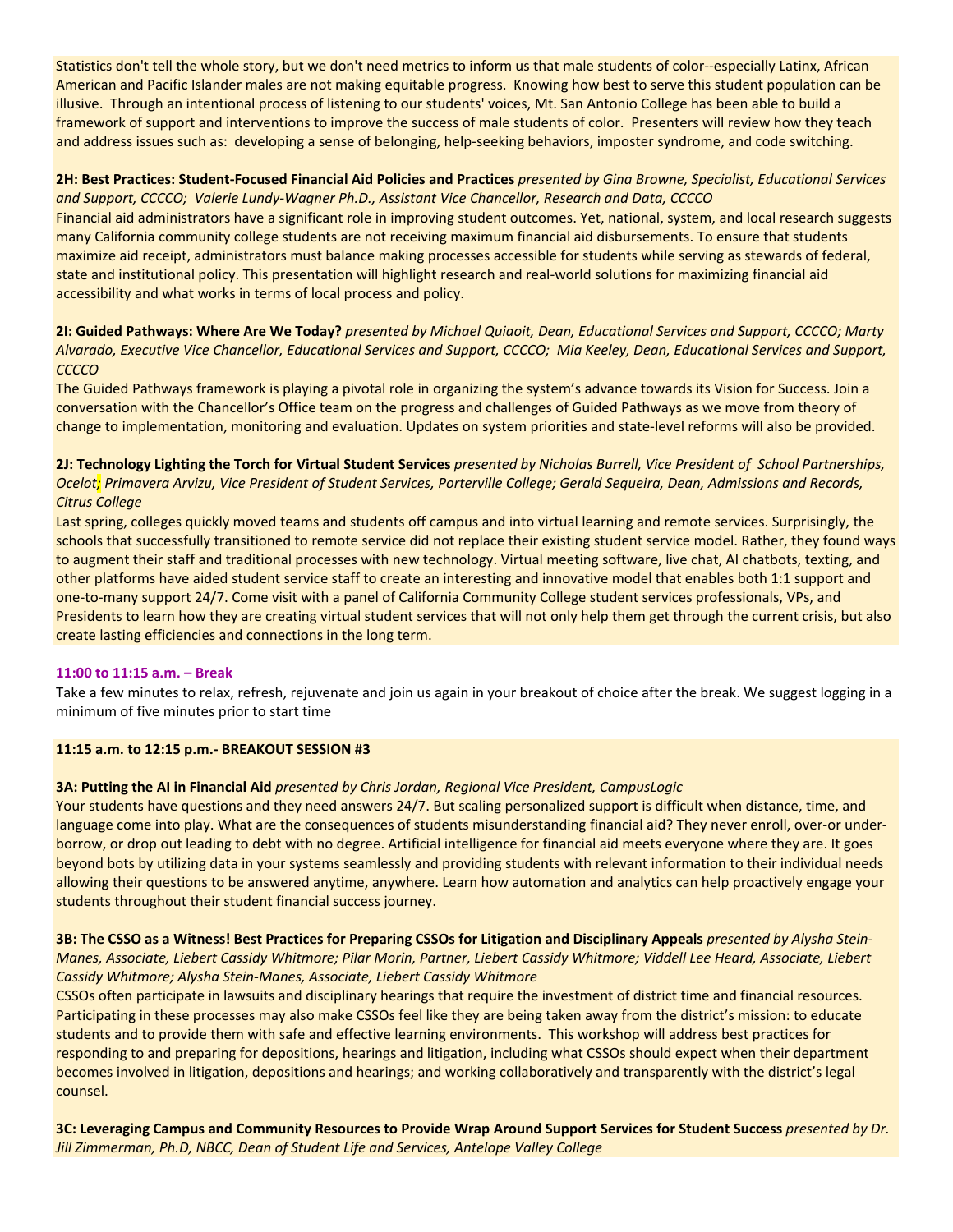Statistics don't tell the whole story, but we don't need metrics to inform us that male students of color--especially Latinx, African American and Pacific Islander males are not making equitable progress. Knowing how best to serve this student population can be illusive. Through an intentional process of listening to our students' voices, Mt. San Antonio College has been able to build a framework of support and interventions to improve the success of male students of color. Presenters will review how they teach and address issues such as: developing a sense of belonging, help-seeking behaviors, imposter syndrome, and code switching.

## 2H: Best Practices: Student-Focused Financial Aid Policies and Practices presented by Gina Browne, Specialist, Educational Services *and Support, CCCCO; Valerie Lundy‐Wagner Ph.D., Assistant Vice Chancellor, Research and Data, CCCCO*

Financial aid administrators have a significant role in improving student outcomes. Yet, national, system, and local research suggests many California community college students are not receiving maximum financial aid disbursements. To ensure that students maximize aid receipt, administrators must balance making processes accessible for students while serving as stewards of federal, state and institutional policy. This presentation will highlight research and real‐world solutions for maximizing financial aid accessibility and what works in terms of local process and policy.

2I: Guided Pathways: Where Are We Today? presented by Michael Quiaoit, Dean, Educational Services and Support, CCCCO; Marty Alvarado, Executive Vice Chancellor, Educational Services and Support, CCCCO; Mia Keeley, Dean, Educational Services and Support, *CCCCO*

The Guided Pathways framework is playing a pivotal role in organizing the system's advance towards its Vision for Success. Join a conversation with the Chancellor's Office team on the progress and challenges of Guided Pathways as we move from theory of change to implementation, monitoring and evaluation. Updates on system priorities and state‐level reforms will also be provided.

### 2J: Technology Lighting the Torch for Virtual Student Services presented by Nicholas Burrell, Vice President of School Partnerships, Ocelot; Primavera Arvizu, Vice President of Student Services, Porterville College; Gerald Sequeira, Dean, Admissions and Records, *Citrus College*

Last spring, colleges quickly moved teams and students off campus and into virtual learning and remote services. Surprisingly, the schools that successfully transitioned to remote service did not replace their existing student service model. Rather, they found ways to augment their staff and traditional processes with new technology. Virtual meeting software, live chat, AI chatbots, texting, and other platforms have aided student service staff to create an interesting and innovative model that enables both 1:1 support and one‐to‐many support 24/7. Come visit with a panel of California Community College student services professionals, VPs, and Presidents to learn how they are creating virtual student services that will not only help them get through the current crisis, but also create lasting efficiencies and connections in the long term.

### **11:00 to 11:15 a.m. – Break**

Take a few minutes to relax, refresh, rejuvenate and join us again in your breakout of choice after the break. We suggest logging in a minimum of five minutes prior to start time

### **11:15 a.m. to 12:15 p.m.‐ BREAKOUT SESSION #3**

### **3A: Putting the AI in Financial Aid** *presented by Chris Jordan, Regional Vice President, CampusLogic*

Your students have questions and they need answers 24/7. But scaling personalized support is difficult when distance, time, and language come into play. What are the consequences of students misunderstanding financial aid? They never enroll, over-or underborrow, or drop out leading to debt with no degree. Artificial intelligence for financial aid meets everyone where they are. It goes beyond bots by utilizing data in your systems seamlessly and providing students with relevant information to their individual needs allowing their questions to be answered anytime, anywhere. Learn how automation and analytics can help proactively engage your students throughout their student financial success journey.

3B: The CSSO as a Witness! Best Practices for Preparing CSSOs for Litigation and Disciplinary Appeals presented by Alysha Stein-Manes, Associate, Liebert Cassidy Whitmore; Pilar Morin, Partner, Liebert Cassidy Whitmore; Viddell Lee Heard, Associate, Liebert *Cassidy Whitmore; Alysha Stein‐Manes, Associate, Liebert Cassidy Whitmore*

CSSOs often participate in lawsuits and disciplinary hearings that require the investment of district time and financial resources. Participating in these processes may also make CSSOs feel like they are being taken away from the district's mission: to educate students and to provide them with safe and effective learning environments. This workshop will address best practices for responding to and preparing for depositions, hearings and litigation, including what CSSOs should expect when their department becomes involved in litigation, depositions and hearings; and working collaboratively and transparently with the district's legal counsel.

3C: Leveraging Campus and Community Resources to Provide Wrap Around Support Services for Student Success presented by Dr. *Jill Zimmerman, Ph.D, NBCC, Dean of Student Life and Services, Antelope Valley College*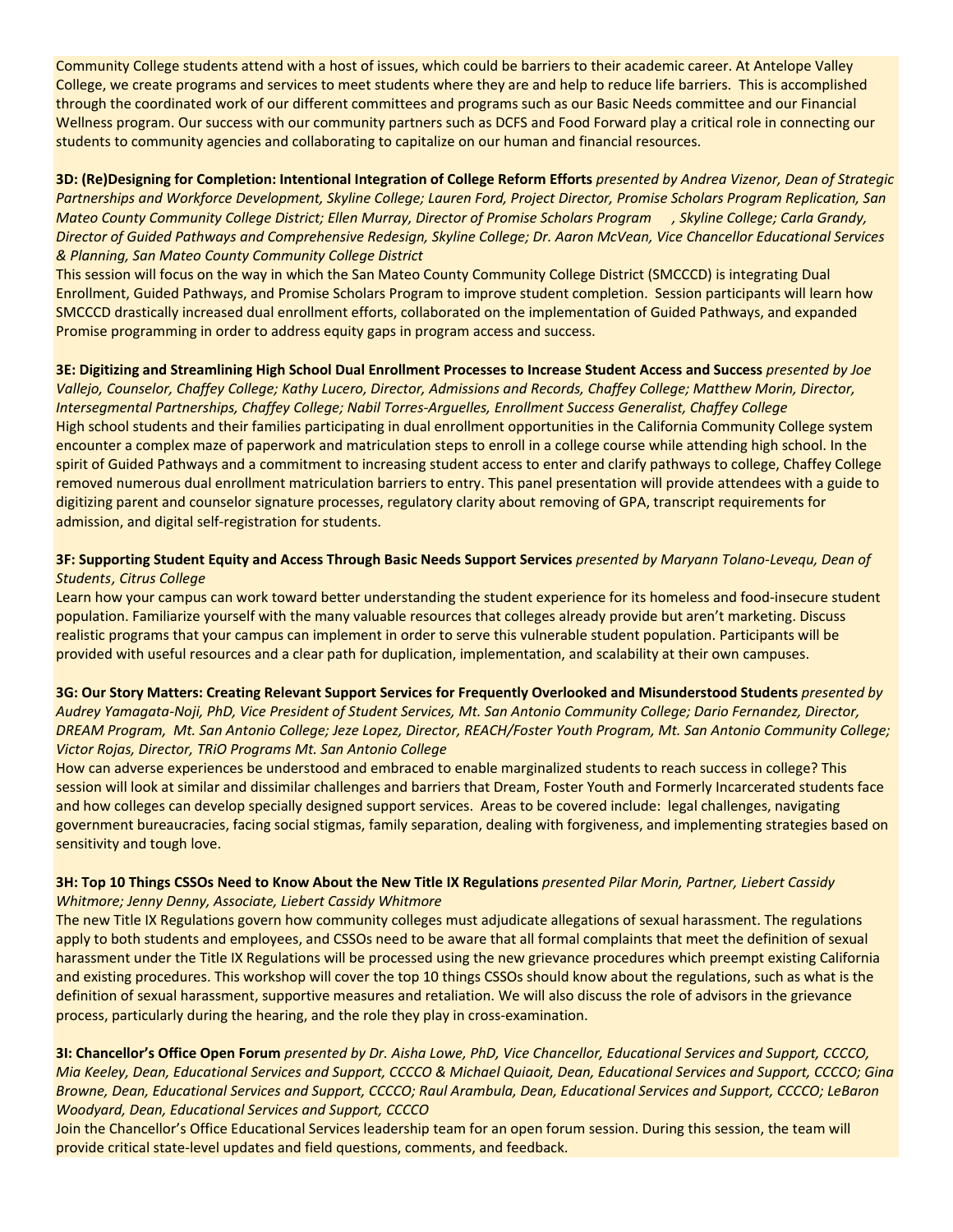Community College students attend with a host of issues, which could be barriers to their academic career. At Antelope Valley College, we create programs and services to meet students where they are and help to reduce life barriers. This is accomplished through the coordinated work of our different committees and programs such as our Basic Needs committee and our Financial Wellness program. Our success with our community partners such as DCFS and Food Forward play a critical role in connecting our students to community agencies and collaborating to capitalize on our human and financial resources.

3D: (Re)Designing for Completion: Intentional Integration of College Reform Efforts presented by Andrea Vizenor, Dean of Strategic Partnerships and Workforce Development, Skyline College; Lauren Ford, Project Director, Promise Scholars Program Replication, San Mateo County Community College District; Ellen Murray, Director of Promise Scholars Program , Skyline College; Carla Grandy, Director of Guided Pathways and Comprehensive Redesign, Skyline College; Dr. Aaron McVean, Vice Chancellor Educational Services *& Planning, San Mateo County Community College District*

This session will focus on the way in which the San Mateo County Community College District (SMCCCD) is integrating Dual Enrollment, Guided Pathways, and Promise Scholars Program to improve student completion. Session participants will learn how SMCCCD drastically increased dual enrollment efforts, collaborated on the implementation of Guided Pathways, and expanded Promise programming in order to address equity gaps in program access and success.

3E: Digitizing and Streamlining High School Dual Enrollment Processes to Increase Student Access and Success presented by Joe Vallejo, Counselor, Chaffey College; Kathy Lucero, Director, Admissions and Records, Chaffey College; Matthew Morin, Director, *Intersegmental Partnerships, Chaffey College; Nabil Torres‐Arguelles, Enrollment Success Generalist, Chaffey College* High school students and their families participating in dual enrollment opportunities in the California Community College system encounter a complex maze of paperwork and matriculation steps to enroll in a college course while attending high school. In the spirit of Guided Pathways and a commitment to increasing student access to enter and clarify pathways to college, Chaffey College removed numerous dual enrollment matriculation barriers to entry. This panel presentation will provide attendees with a guide to digitizing parent and counselor signature processes, regulatory clarity about removing of GPA, transcript requirements for admission, and digital self‐registration for students.

### 3F: Supporting Student Equity and Access Through Basic Needs Support Services presented by Maryann Tolano-Levequ, Dean of *Students, Citrus College*

Learn how your campus can work toward better understanding the student experience for its homeless and food-insecure student population. Familiarize yourself with the many valuable resources that colleges already provide but aren't marketing. Discuss realistic programs that your campus can implement in order to serve this vulnerable student population. Participants will be provided with useful resources and a clear path for duplication, implementation, and scalability at their own campuses.

3G: Our Story Matters: Creating Relevant Support Services for Frequently Overlooked and Misunderstood Students presented by Audrey Yamagata-Noji, PhD, Vice President of Student Services, Mt. San Antonio Community College; Dario Fernandez, Director, DREAM Program, Mt. San Antonio College; Jeze Lopez, Director, REACH/Foster Youth Program, Mt. San Antonio Community College; *Victor Rojas, Director, TRiO Programs Mt. San Antonio College*

How can adverse experiences be understood and embraced to enable marginalized students to reach success in college? This session will look at similar and dissimilar challenges and barriers that Dream, Foster Youth and Formerly Incarcerated students face and how colleges can develop specially designed support services. Areas to be covered include: legal challenges, navigating government bureaucracies, facing social stigmas, family separation, dealing with forgiveness, and implementing strategies based on sensitivity and tough love.

## 3H: Top 10 Things CSSOs Need to Know About the New Title IX Regulations presented Pilar Morin, Partner, Liebert Cassidy *Whitmore; Jenny Denny, Associate, Liebert Cassidy Whitmore*

The new Title IX Regulations govern how community colleges must adjudicate allegations of sexual harassment. The regulations apply to both students and employees, and CSSOs need to be aware that all formal complaints that meet the definition of sexual harassment under the Title IX Regulations will be processed using the new grievance procedures which preempt existing California and existing procedures. This workshop will cover the top 10 things CSSOs should know about the regulations, such as what is the definition of sexual harassment, supportive measures and retaliation. We will also discuss the role of advisors in the grievance process, particularly during the hearing, and the role they play in cross‐examination.

3I: Chancellor's Office Open Forum presented by Dr. Aisha Lowe, PhD, Vice Chancellor, Educational Services and Support, CCCCO, Mia Keeley, Dean, Educational Services and Support, CCCCO & Michael Quiaoit, Dean, Educational Services and Support, CCCCO; Gina Browne, Dean, Educational Services and Support, CCCCO; Raul Arambula, Dean, Educational Services and Support, CCCCO; LeBaron *Woodyard, Dean, Educational Services and Support, CCCCO*

Join the Chancellor's Office Educational Services leadership team for an open forum session. During this session, the team will provide critical state-level updates and field questions, comments, and feedback.